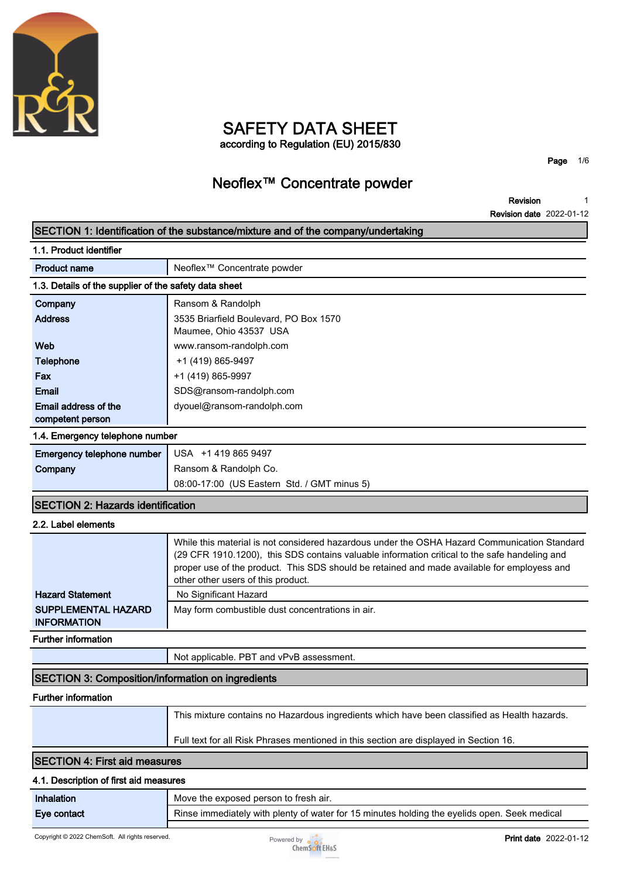

### **SAFETY DATA SHEET according to Regulation (EU) 2015/830**

**Page 1/6**

### **Neoflex™ Concentrate powder**

**Revision Revision date 2022-01-12 1**

| SECTION 1: Identification of the substance/mixture and of the company/undertaking |                                                                                                                                                                                                                                                                                                                                    |
|-----------------------------------------------------------------------------------|------------------------------------------------------------------------------------------------------------------------------------------------------------------------------------------------------------------------------------------------------------------------------------------------------------------------------------|
| 1.1. Product identifier                                                           |                                                                                                                                                                                                                                                                                                                                    |
| <b>Product name</b>                                                               | Neoflex <sup>™</sup> Concentrate powder                                                                                                                                                                                                                                                                                            |
| 1.3. Details of the supplier of the safety data sheet                             |                                                                                                                                                                                                                                                                                                                                    |
| Company                                                                           | Ransom & Randolph                                                                                                                                                                                                                                                                                                                  |
| <b>Address</b>                                                                    | 3535 Briarfield Boulevard, PO Box 1570<br>Maumee, Ohio 43537 USA                                                                                                                                                                                                                                                                   |
| Web                                                                               | www.ransom-randolph.com                                                                                                                                                                                                                                                                                                            |
| Telephone                                                                         | +1 (419) 865-9497                                                                                                                                                                                                                                                                                                                  |
| Fax                                                                               | +1 (419) 865-9997                                                                                                                                                                                                                                                                                                                  |
| <b>Email</b>                                                                      | SDS@ransom-randolph.com                                                                                                                                                                                                                                                                                                            |
| Email address of the<br>competent person                                          | dyouel@ransom-randolph.com                                                                                                                                                                                                                                                                                                         |
| 1.4. Emergency telephone number                                                   |                                                                                                                                                                                                                                                                                                                                    |
| Emergency telephone number                                                        | USA +1 419 865 9497                                                                                                                                                                                                                                                                                                                |
| Company                                                                           | Ransom & Randolph Co.                                                                                                                                                                                                                                                                                                              |
|                                                                                   | 08:00-17:00 (US Eastern Std. / GMT minus 5)                                                                                                                                                                                                                                                                                        |
| <b>SECTION 2: Hazards identification</b>                                          |                                                                                                                                                                                                                                                                                                                                    |
| 2.2. Label elements                                                               |                                                                                                                                                                                                                                                                                                                                    |
|                                                                                   | While this material is not considered hazardous under the OSHA Hazard Communication Standard<br>(29 CFR 1910.1200), this SDS contains valuable information critical to the safe handeling and<br>proper use of the product. This SDS should be retained and made available for employess and<br>other other users of this product. |
| <b>Hazard Statement</b>                                                           | No Significant Hazard                                                                                                                                                                                                                                                                                                              |
| <b>SUPPLEMENTAL HAZARD</b><br><b>INFORMATION</b>                                  | May form combustible dust concentrations in air.                                                                                                                                                                                                                                                                                   |
| Further information                                                               |                                                                                                                                                                                                                                                                                                                                    |
|                                                                                   | Not applicable. PBT and vPvB assessment.                                                                                                                                                                                                                                                                                           |

### **SECTION 3: Composition/information on ingredients**

#### **Further information**

| This mixture contains no Hazardous ingredients which have been classified as Health hazards. |
|----------------------------------------------------------------------------------------------|
| Full text for all Risk Phrases mentioned in this section are displayed in Section 16.        |

### **SECTION 4: First aid measures**

#### **4.1. Description of first aid measures**

| Inhalation  | Move the exposed person to fresh air.                                                        |  |
|-------------|----------------------------------------------------------------------------------------------|--|
| Eve contact | Rinse immediately with plenty of water for 15 minutes holding the eyelids open. Seek medical |  |
|             |                                                                                              |  |

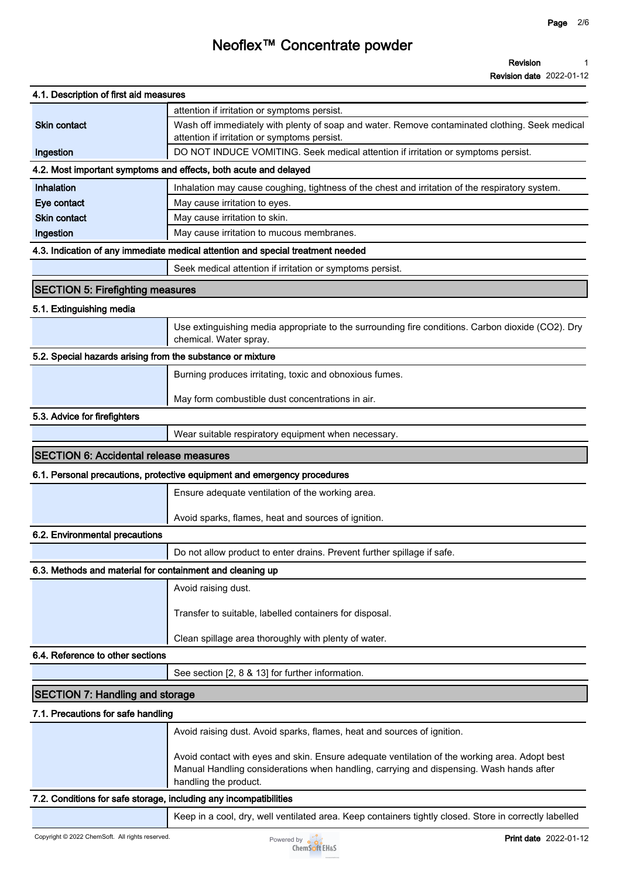# **Neoflex™ Concentrate powder**

**Revision date 2022-01-12**

| 4.1. Description of first aid measures                            |                                                                                                                                                                                                |
|-------------------------------------------------------------------|------------------------------------------------------------------------------------------------------------------------------------------------------------------------------------------------|
|                                                                   |                                                                                                                                                                                                |
| <b>Skin contact</b>                                               | attention if irritation or symptoms persist.<br>Wash off immediately with plenty of soap and water. Remove contaminated clothing. Seek medical<br>attention if irritation or symptoms persist. |
| Ingestion                                                         | DO NOT INDUCE VOMITING. Seek medical attention if irritation or symptoms persist.                                                                                                              |
|                                                                   | 4.2. Most important symptoms and effects, both acute and delayed                                                                                                                               |
| Inhalation                                                        | Inhalation may cause coughing, tightness of the chest and irritation of the respiratory system.                                                                                                |
| Eye contact                                                       | May cause irritation to eyes.                                                                                                                                                                  |
| <b>Skin contact</b>                                               | May cause irritation to skin.                                                                                                                                                                  |
| Ingestion                                                         | May cause irritation to mucous membranes.                                                                                                                                                      |
|                                                                   | 4.3. Indication of any immediate medical attention and special treatment needed                                                                                                                |
|                                                                   | Seek medical attention if irritation or symptoms persist.                                                                                                                                      |
| <b>SECTION 5: Firefighting measures</b>                           |                                                                                                                                                                                                |
|                                                                   |                                                                                                                                                                                                |
| 5.1. Extinguishing media                                          |                                                                                                                                                                                                |
|                                                                   | Use extinguishing media appropriate to the surrounding fire conditions. Carbon dioxide (CO2). Dry<br>chemical. Water spray.                                                                    |
| 5.2. Special hazards arising from the substance or mixture        |                                                                                                                                                                                                |
|                                                                   | Burning produces irritating, toxic and obnoxious fumes.                                                                                                                                        |
|                                                                   | May form combustible dust concentrations in air.                                                                                                                                               |
| 5.3. Advice for firefighters                                      |                                                                                                                                                                                                |
|                                                                   | Wear suitable respiratory equipment when necessary.                                                                                                                                            |
| <b>SECTION 6: Accidental release measures</b>                     |                                                                                                                                                                                                |
|                                                                   | 6.1. Personal precautions, protective equipment and emergency procedures                                                                                                                       |
|                                                                   | Ensure adequate ventilation of the working area.                                                                                                                                               |
|                                                                   |                                                                                                                                                                                                |
|                                                                   | Avoid sparks, flames, heat and sources of ignition.                                                                                                                                            |
| 6.2. Environmental precautions                                    |                                                                                                                                                                                                |
|                                                                   | Do not allow product to enter drains. Prevent further spillage if safe.                                                                                                                        |
| 6.3. Methods and material for containment and cleaning up         |                                                                                                                                                                                                |
|                                                                   | Avoid raising dust.                                                                                                                                                                            |
|                                                                   | Transfer to suitable, labelled containers for disposal.                                                                                                                                        |
|                                                                   |                                                                                                                                                                                                |
|                                                                   | Clean spillage area thoroughly with plenty of water.                                                                                                                                           |
| 6.4. Reference to other sections                                  |                                                                                                                                                                                                |
|                                                                   | See section [2, 8 & 13] for further information.                                                                                                                                               |
| <b>SECTION 7: Handling and storage</b>                            |                                                                                                                                                                                                |
| 7.1. Precautions for safe handling                                |                                                                                                                                                                                                |
|                                                                   | Avoid raising dust. Avoid sparks, flames, heat and sources of ignition.                                                                                                                        |
|                                                                   | Avoid contact with eyes and skin. Ensure adequate ventilation of the working area. Adopt best                                                                                                  |
|                                                                   | Manual Handling considerations when handling, carrying and dispensing. Wash hands after<br>handling the product.                                                                               |
| 7.2. Conditions for safe storage, including any incompatibilities |                                                                                                                                                                                                |
|                                                                   | Keep in a cool, dry, well ventilated area. Keep containers tightly closed. Store in correctly labelled                                                                                         |
|                                                                   |                                                                                                                                                                                                |

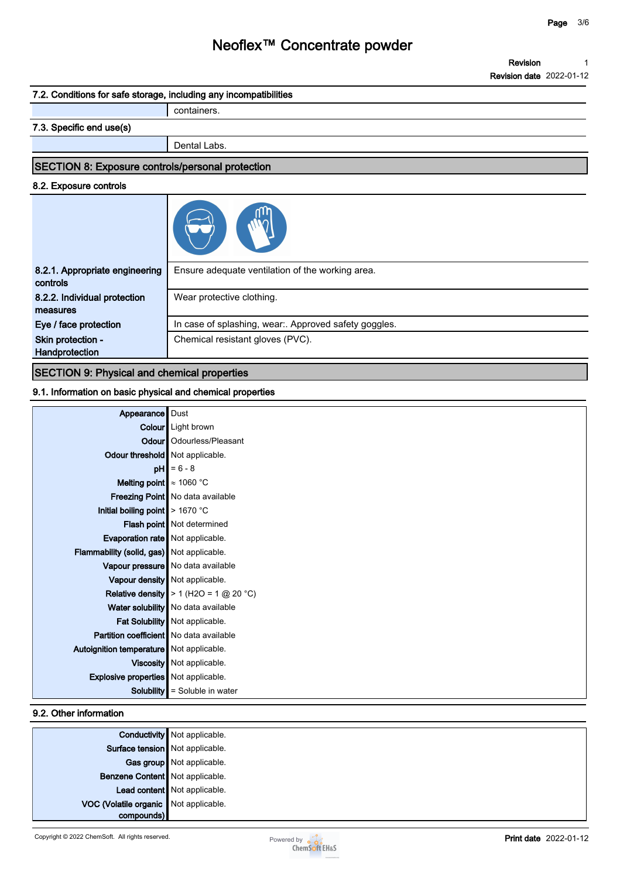**1**

**Revision**

# **Neoflex™ Concentrate powder**

|                                                                   | <b>Revision date</b> 2022-01-12                       |
|-------------------------------------------------------------------|-------------------------------------------------------|
| 7.2. Conditions for safe storage, including any incompatibilities |                                                       |
|                                                                   | containers.                                           |
| 7.3. Specific end use(s)                                          |                                                       |
|                                                                   | Dental Labs.                                          |
| <b>SECTION 8: Exposure controls/personal protection</b>           |                                                       |
| 8.2. Exposure controls                                            |                                                       |
|                                                                   |                                                       |
| 8.2.1. Appropriate engineering<br>controls                        | Ensure adequate ventilation of the working area.      |
| 8.2.2. Individual protection<br>measures                          | Wear protective clothing.                             |
| Eye / face protection                                             | In case of splashing, wear:. Approved safety goggles. |
| Skin protection -                                                 | Chemical resistant gloves (PVC).                      |
| Handprotection                                                    |                                                       |

#### **SECTION 9: Physical and chemical properties**

#### **9.1. Information on basic physical and chemical properties**

| <b>Appearance</b> Dust<br><b>Colour</b> Light brown<br><b>Odour</b>   Odourless/Pleasant<br>Odour threshold   Not applicable.<br>$pH$ = 6 - 8<br><b>Melting point</b> $\approx 1060$ °C<br>Freezing Point   No data available<br>Initial boiling point $\vert$ > 1670 °C<br><b>Flash point</b> Not determined<br>Evaporation rate   Not applicable.<br>Flammability (solid, gas) Not applicable.<br>Vapour pressure   No data available<br>Vapour density   Not applicable.<br>Relative density $\blacktriangleright$ 1 (H2O = 1 @ 20 °C)<br>Water solubility No data available<br>Fat Solubility Not applicable.<br><b>Partition coefficient</b> No data available<br>Autoignition temperature   Not applicable.<br>Viscosity   Not applicable.<br><b>Explosive properties</b> Not applicable.<br><b>Solubility</b> $\parallel$ = Soluble in water |  |
|-----------------------------------------------------------------------------------------------------------------------------------------------------------------------------------------------------------------------------------------------------------------------------------------------------------------------------------------------------------------------------------------------------------------------------------------------------------------------------------------------------------------------------------------------------------------------------------------------------------------------------------------------------------------------------------------------------------------------------------------------------------------------------------------------------------------------------------------------------|--|
|                                                                                                                                                                                                                                                                                                                                                                                                                                                                                                                                                                                                                                                                                                                                                                                                                                                     |  |
|                                                                                                                                                                                                                                                                                                                                                                                                                                                                                                                                                                                                                                                                                                                                                                                                                                                     |  |
|                                                                                                                                                                                                                                                                                                                                                                                                                                                                                                                                                                                                                                                                                                                                                                                                                                                     |  |
|                                                                                                                                                                                                                                                                                                                                                                                                                                                                                                                                                                                                                                                                                                                                                                                                                                                     |  |
|                                                                                                                                                                                                                                                                                                                                                                                                                                                                                                                                                                                                                                                                                                                                                                                                                                                     |  |
|                                                                                                                                                                                                                                                                                                                                                                                                                                                                                                                                                                                                                                                                                                                                                                                                                                                     |  |
|                                                                                                                                                                                                                                                                                                                                                                                                                                                                                                                                                                                                                                                                                                                                                                                                                                                     |  |
|                                                                                                                                                                                                                                                                                                                                                                                                                                                                                                                                                                                                                                                                                                                                                                                                                                                     |  |
|                                                                                                                                                                                                                                                                                                                                                                                                                                                                                                                                                                                                                                                                                                                                                                                                                                                     |  |
|                                                                                                                                                                                                                                                                                                                                                                                                                                                                                                                                                                                                                                                                                                                                                                                                                                                     |  |
|                                                                                                                                                                                                                                                                                                                                                                                                                                                                                                                                                                                                                                                                                                                                                                                                                                                     |  |
|                                                                                                                                                                                                                                                                                                                                                                                                                                                                                                                                                                                                                                                                                                                                                                                                                                                     |  |
|                                                                                                                                                                                                                                                                                                                                                                                                                                                                                                                                                                                                                                                                                                                                                                                                                                                     |  |
|                                                                                                                                                                                                                                                                                                                                                                                                                                                                                                                                                                                                                                                                                                                                                                                                                                                     |  |
|                                                                                                                                                                                                                                                                                                                                                                                                                                                                                                                                                                                                                                                                                                                                                                                                                                                     |  |
|                                                                                                                                                                                                                                                                                                                                                                                                                                                                                                                                                                                                                                                                                                                                                                                                                                                     |  |
|                                                                                                                                                                                                                                                                                                                                                                                                                                                                                                                                                                                                                                                                                                                                                                                                                                                     |  |
|                                                                                                                                                                                                                                                                                                                                                                                                                                                                                                                                                                                                                                                                                                                                                                                                                                                     |  |
|                                                                                                                                                                                                                                                                                                                                                                                                                                                                                                                                                                                                                                                                                                                                                                                                                                                     |  |
|                                                                                                                                                                                                                                                                                                                                                                                                                                                                                                                                                                                                                                                                                                                                                                                                                                                     |  |
|                                                                                                                                                                                                                                                                                                                                                                                                                                                                                                                                                                                                                                                                                                                                                                                                                                                     |  |

#### **9.2. Other information**

|                                       | <b>Conductivity</b> Not applicable. |
|---------------------------------------|-------------------------------------|
| Surface tension Not applicable.       |                                     |
|                                       | Gas group Not applicable.           |
| Benzene Content   Not applicable.     |                                     |
|                                       | Lead content   Not applicable.      |
| VOC (Volatile organic Not applicable. |                                     |
| compounds)                            |                                     |

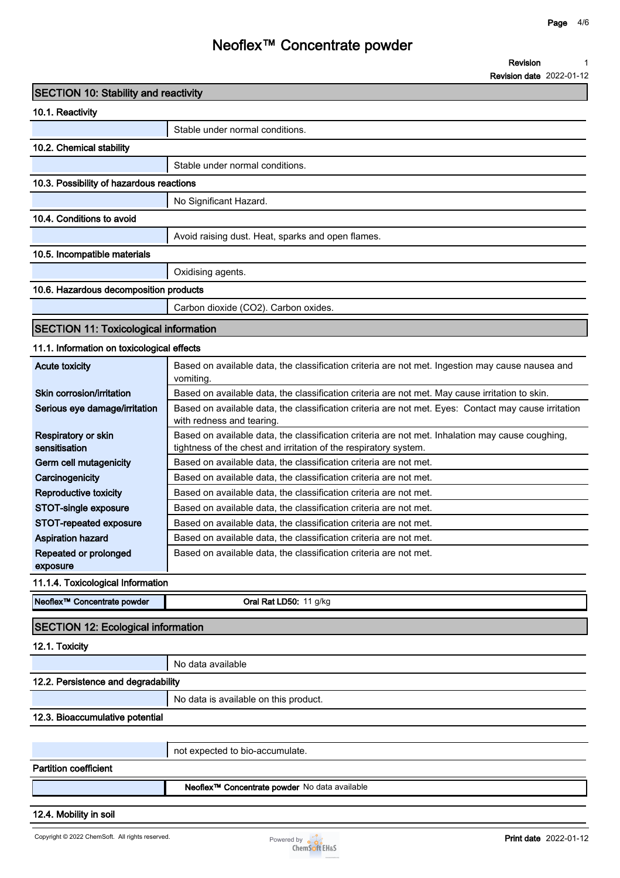**1**

**Revision**

# **Neoflex™ Concentrate powder**

|                                              | <b>Revision date 2022-01-12</b>                                                                                                   |
|----------------------------------------------|-----------------------------------------------------------------------------------------------------------------------------------|
| <b>SECTION 10: Stability and reactivity</b>  |                                                                                                                                   |
| 10.1. Reactivity                             |                                                                                                                                   |
|                                              | Stable under normal conditions.                                                                                                   |
| 10.2. Chemical stability                     |                                                                                                                                   |
|                                              | Stable under normal conditions.                                                                                                   |
| 10.3. Possibility of hazardous reactions     |                                                                                                                                   |
|                                              |                                                                                                                                   |
|                                              | No Significant Hazard.                                                                                                            |
| 10.4. Conditions to avoid                    |                                                                                                                                   |
|                                              | Avoid raising dust. Heat, sparks and open flames.                                                                                 |
| 10.5. Incompatible materials                 |                                                                                                                                   |
|                                              | Oxidising agents.                                                                                                                 |
| 10.6. Hazardous decomposition products       |                                                                                                                                   |
|                                              | Carbon dioxide (CO2). Carbon oxides.                                                                                              |
|                                              |                                                                                                                                   |
| <b>SECTION 11: Toxicological information</b> |                                                                                                                                   |
| 11.1. Information on toxicological effects   |                                                                                                                                   |
| <b>Acute toxicity</b>                        | Based on available data, the classification criteria are not met. Ingestion may cause nausea and<br>vomiting.                     |
| Skin corrosion/irritation                    | Based on available data, the classification criteria are not met. May cause irritation to skin.                                   |
| Serious eye damage/irritation                | Based on available data, the classification criteria are not met. Eyes: Contact may cause irritation<br>with redness and tearing. |
| Respiratory or skin                          | Based on available data, the classification criteria are not met. Inhalation may cause coughing,                                  |
| sensitisation                                | tightness of the chest and irritation of the respiratory system.                                                                  |
| Germ cell mutagenicity                       | Based on available data, the classification criteria are not met.                                                                 |
| Carcinogenicity                              | Based on available data, the classification criteria are not met.                                                                 |
| Reproductive toxicity                        | Based on available data, the classification criteria are not met.                                                                 |
| <b>STOT-single exposure</b>                  | Based on available data, the classification criteria are not met.                                                                 |
| STOT-repeated exposure                       | Based on available data, the classification criteria are not met.                                                                 |
| <b>Aspiration hazard</b>                     | Based on available data, the classification criteria are not met.                                                                 |
| Repeated or prolonged<br>exposure            | Based on available data, the classification criteria are not met.                                                                 |
| 11.1.4. Toxicological Information            |                                                                                                                                   |
|                                              |                                                                                                                                   |
| Neoflex <sup>™</sup> Concentrate powder      | Oral Rat LD50: 11 g/kg                                                                                                            |
| <b>SECTION 12: Ecological information</b>    |                                                                                                                                   |
| 12.1. Toxicity                               |                                                                                                                                   |
|                                              | No data available                                                                                                                 |
| 12.2. Persistence and degradability          |                                                                                                                                   |
|                                              | No data is available on this product.                                                                                             |
| 12.3. Bioaccumulative potential              |                                                                                                                                   |
|                                              |                                                                                                                                   |
|                                              | not expected to bio-accumulate.                                                                                                   |
| <b>Partition coefficient</b>                 |                                                                                                                                   |
|                                              |                                                                                                                                   |
|                                              | Neoflex <sup>™</sup> Concentrate powder No data available                                                                         |

**12.4. Mobility in soil**

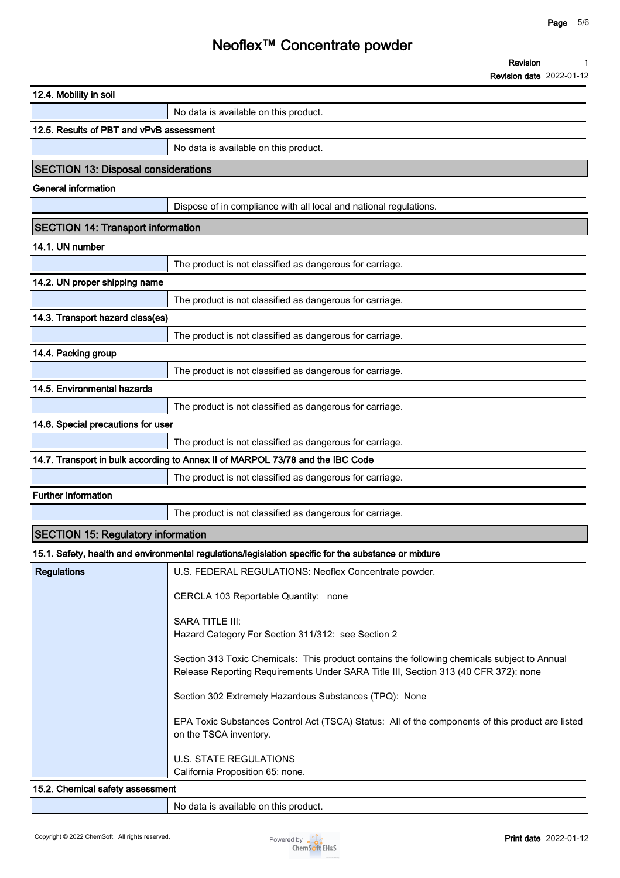**Revision 1**

|                                            | <b>Revision date 2022-01-12</b>                                                                                                                                                     |
|--------------------------------------------|-------------------------------------------------------------------------------------------------------------------------------------------------------------------------------------|
| 12.4. Mobility in soil                     |                                                                                                                                                                                     |
|                                            | No data is available on this product.                                                                                                                                               |
| 12.5. Results of PBT and vPvB assessment   |                                                                                                                                                                                     |
|                                            | No data is available on this product.                                                                                                                                               |
| <b>SECTION 13: Disposal considerations</b> |                                                                                                                                                                                     |
| <b>General information</b>                 |                                                                                                                                                                                     |
|                                            | Dispose of in compliance with all local and national regulations.                                                                                                                   |
| <b>SECTION 14: Transport information</b>   |                                                                                                                                                                                     |
| 14.1. UN number                            |                                                                                                                                                                                     |
|                                            | The product is not classified as dangerous for carriage.                                                                                                                            |
| 14.2. UN proper shipping name              |                                                                                                                                                                                     |
|                                            | The product is not classified as dangerous for carriage.                                                                                                                            |
| 14.3. Transport hazard class(es)           |                                                                                                                                                                                     |
|                                            | The product is not classified as dangerous for carriage.                                                                                                                            |
| 14.4. Packing group                        |                                                                                                                                                                                     |
|                                            | The product is not classified as dangerous for carriage.                                                                                                                            |
| 14.5. Environmental hazards                |                                                                                                                                                                                     |
|                                            | The product is not classified as dangerous for carriage.                                                                                                                            |
| 14.6. Special precautions for user         |                                                                                                                                                                                     |
|                                            | The product is not classified as dangerous for carriage.                                                                                                                            |
|                                            | 14.7. Transport in bulk according to Annex II of MARPOL 73/78 and the IBC Code                                                                                                      |
|                                            | The product is not classified as dangerous for carriage.                                                                                                                            |
| <b>Further information</b>                 |                                                                                                                                                                                     |
|                                            | The product is not classified as dangerous for carriage.                                                                                                                            |
| <b>SECTION 15: Regulatory information</b>  |                                                                                                                                                                                     |
|                                            | 15.1. Safety, health and environmental regulations/legislation specific for the substance or mixture                                                                                |
| <b>Regulations</b>                         | U.S. FEDERAL REGULATIONS: Neoflex Concentrate powder.                                                                                                                               |
|                                            | CERCLA 103 Reportable Quantity: none                                                                                                                                                |
|                                            | SARA TITLE III:<br>Hazard Category For Section 311/312: see Section 2                                                                                                               |
|                                            | Section 313 Toxic Chemicals: This product contains the following chemicals subject to Annual<br>Release Reporting Requirements Under SARA Title III, Section 313 (40 CFR 372): none |
|                                            | Section 302 Extremely Hazardous Substances (TPQ): None                                                                                                                              |
|                                            | EPA Toxic Substances Control Act (TSCA) Status: All of the components of this product are listed<br>on the TSCA inventory.                                                          |
|                                            | <b>U.S. STATE REGULATIONS</b><br>California Proposition 65: none.                                                                                                                   |
| 15.2. Chemical safety assessment           |                                                                                                                                                                                     |

**No data is available on this product.**